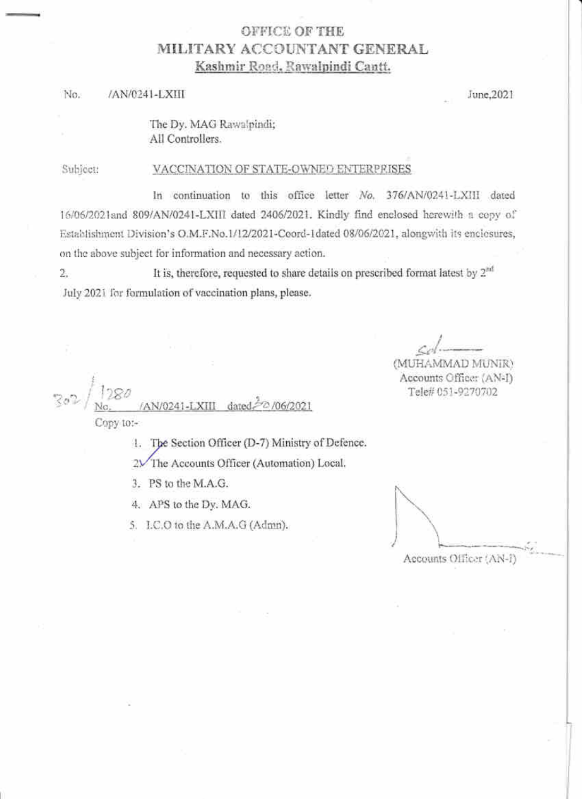## **OFFICE OF THE** MILITARY ACCOUNTANT GENERAL Kashmir Road, Rawalpindi Cantt.

#### No. /AN/0241-LXIII

June, 2021

The Dy. MAG Rawalpindi; All Controllers.

Subject:

#### VACCINATION OF STATE-OWNED ENTERPRISES

In continuation to this office letter No. 376/AN/0241-LXIII dated 16/06/2021and 809/AN/0241-LXIII dated 2406/2021. Kindly find enclosed herewith a copy of Establishment Division's O.M.F.No.1/12/2021-Coord-1dated 08/06/2021, alongwith its enclosures, on the above subject for information and necessary action.

It is, therefore, requested to share details on prescribed format latest by  $2^{nd}$ 2. July 2021 for formulation of vaccination plans, please.

(MUHAMMAD MUNIR) Accounts Office: (AN-I) Tele# 051-9270702

/AN/0241-LXIII dated Copy to:-

1. The Section Officer (D-7) Ministry of Defence.

2V The Accounts Officer (Automation) Local.

3. PS to the M.A.G.

4. APS to the Dv. MAG.

5. I.C.O to the A.M.A.G (Admn).

Accounts Officer (AN-F)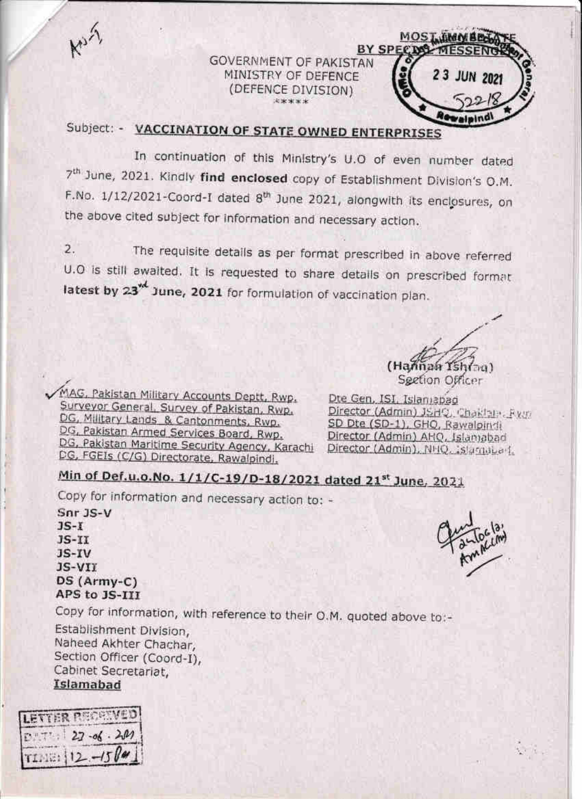**BY SPECIM GOVERNMENT OF PAKISTAN** MINISTRY OF DEFENCE (DEFENCE DIVISION) 

# Subject: - VACCINATION OF STATE OWNED ENTERPRISES

In continuation of this Ministry's U.O of even number dated 7<sup>th</sup> June, 2021. Kindly find enclosed copy of Establishment Division's O.M. F.No. 1/12/2021-Coord-I dated 8<sup>th</sup> June 2021, alongwith its enclosures, on the above cited subject for information and necessary action.

The requisite details as per format prescribed in above referred  $\overline{2}$ . U.O is still awaited. It is requested to share details on prescribed format latest by 23<sup><sup>d</sup> June, 2021 for formulation of vaccination plan.</sup>

(Hannan Ys Section Officer

**MOST JHOMBEN** 

23 JUN 2021

MAG, Pakistan Military Accounts Deptt, Rwp. Surveyor General, Survey of Pakistan, Rwp. DG, Military Lands & Cantonments, Rwp. DG, Pakistan Armed Services Board, Rwp. DG, Pakistan Maritime Security Agency, Karachi Director (Admin), NHQ, Slambari, DG, FGEIs (C/G) Directorate, Rawalpindi.

Dte Gen, ISI, Islamabad Director (Admin) JSHQ, Chaktain, Rym SD Dte (SD-1), GHQ, Rawalpindi Director (Admin) AHQ, Islamabad

## Min of Def.u.o.No. 1/1/C-19/D-18/2021 dated 21st June, 2021

Copy for information and necessary action to: -

Snr JS-V  $JS-I$  $JS-TI$ JS-IV JS-VII DS (Army-C) APS to JS-III

Copy for information, with reference to their O.M. quoted above to:-

Establishment Division, Naheed Akhter Chachar. Section Officer (Coord-I), Cabinet Secretariat, Islamabad

| LETTER PERSONED                                    |  |
|----------------------------------------------------|--|
| $\frac{27 - 66 \cdot 201}{12 \cdot 12 \cdot 1500}$ |  |



 $\mathcal{L}^{\mathcal{L}}$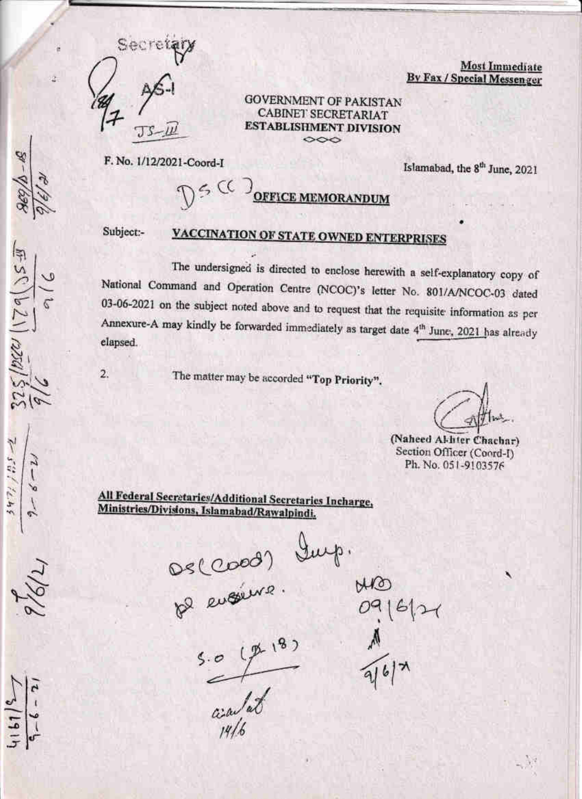

**Most Immediate By Fax / Special Messenger** 

**GOVERNMENT OF PAKISTAN CABINET SECRETARIAT ESTABLISHMENT DIVISION**  $\infty$ 

F. No. 1/12/2021-Coord-I

Islamabad, the 8<sup>th</sup> June, 2021

DE CO OFFICE MEMORANDUM

Subject:-

 $2.$ 

## VACCINATION OF STATE OWNED ENTERPRISES

The undersigned is directed to enclose herewith a self-explanatory copy of National Command and Operation Centre (NCOC)'s letter No. 801/A/NCOC-03 dated 03-06-2021 on the subject noted above and to request that the requisite information as per Annexure-A may kindly be forwarded immediately as target date 4<sup>th</sup> June, 2021 has already elapsed.

The matter may be accorded "Top Priority".

(Naheed Al-liter Chachar) Section Officer (Coord-I) Ph. No. 051-9103576

All Federal Secretaries/Additional Secretaries Incharge, Ministries/Divisions, Islamabad/Rawalpindi.

 $1621/228/$ 

 $6.591724$ 

Deccoos dup.

 $rac{1}{\frac{1}{4}}$ 

MO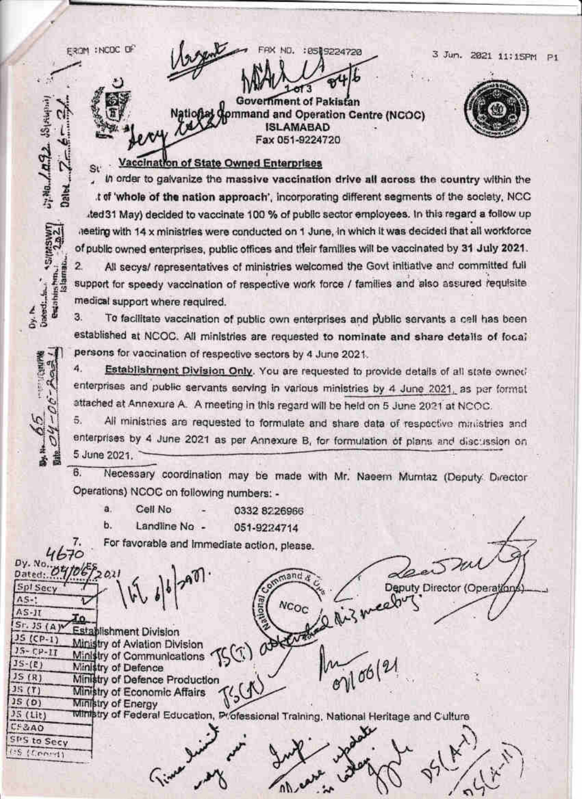EROM : NCOC OF

**Sirtuani** 

 $L_1^{\text{N-B}}$ ,  $L_2^{\text{B}}$ 

 $5$  (*Haswi*)

Bezahirshm.

Dy. N.<br>Datendi...

3 Jun. 2021 11:15PM P1



**Government of Pakistan** ommand and Operation Centre (NCOC) **ISLAMABAD** Fax 051-9224720

FAX ND. : 0519224720

### Vaccination of State Owned Enterprises

In order to galvanize the massive vaccination drive all across the country within the t of 'whole of the nation approach', incorporating different segments of the society. NCC ted 31 May) decided to vaccinate 100 % of public sector employees. In this regard a follow up neeting with 14 x ministries were conducted on 1 June, in which it was decided that all workforce of public owned enterprises, public offices and their families will be vaccinated by 31 July 2021. All secys/ representatives of ministries welcomed the Govt initiative and committed full  $\overline{2}$ support for speedy vaccination of respective work force / families and also assured requisite

medical support where required.

3. To facilitate vaccination of public own enterprises and public servants a cell has been established at NCOC. All ministries are requested to nominate and share details of focal persons for vaccination of respective sectors by 4 June 2021.

4. Establishment Division Only. You are requested to provide details of all state owned enterprises and public servants serving in various ministries by 4 June 2021, as per format attached at Annexura A. A meeting in this regard will be held on 5 June 2021 at NCOC.

5. All ministries are requested to formulate and share data of respective ministries and enterprises by 4 June 2021 as per Annexure B, for formulation of plans and discussion on 5 June 2021.

 $6.$ Necessary coordination may be made with Mr. Naeem Mumtaz (Deputy Director Operations) NCOC on following numbers: -

- ä. ь.
	- Cell No Landline No -
- 051-9224714

0332 8226966

For favorable and immediate action, please.

4670 Dy. No Dated: 05 mand Deputy Director (Operation Spl Secv  $AS-1$ **NCOC**  $AS-II$ đο.  $Sr.$  JS  $(A)$ <sup>w</sup> Establishment Division attent  $JS(CP-1)$ Ministry of Aviation Division  $15 - CP - II$ U. Ministry of Communications  $106(2)$  $JS-(E)$ Ministry of Defence  $JS(R)$ Ministry of Defence Production  $35(7)$ Ministry of Economic Affairs  $JS(0)$ Ministry of Energy **Ministry of Federal Education, Professional Training, National Heritage and Culture**  $JS($ Lit $)$  $CF2A0$ SPS to Secy  $(55, (500.4)$